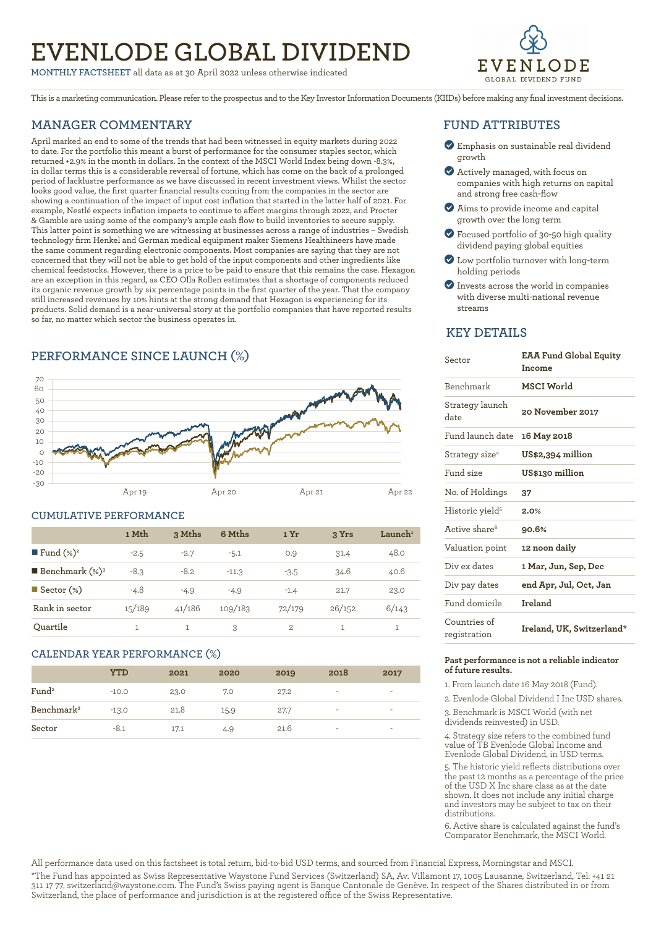# **EVENLODE GLOBAL DIVIDEND**

**MONTHLY FACTSHEET** all data as at 30 April 2022 unless otherwise indicated



This is a marketing communication. Please refer to the prospectus and to the Key Investor Information Documents (KIIDs) before making any final investment decisions.

### **MANAGER COMMENTARY**

April marked an end to some of the trends that had been witnessed in equity markets during 2022 to date. For the portfolio this meant a burst of performance for the consumer staples sector, which returned +2.9% in the month in dollars. In the context of the MSCI World Index being down -8.3%, in dollar terms this is a considerable reversal of fortune, which has come on the back of a prolonged period of lacklustre performance as we have discussed in recent investment views. Whilst the sector looks good value, the first quarter financial results coming from the companies in the sector are showing a continuation of the impact of input cost inflation that started in the latter half of 2021. For example, Nestlé expects inflation impacts to continue to affect margins through 2022, and Procter & Gamble are using some of the company's ample cash flow to build inventories to secure supply. This latter point is something we are witnessing at businesses across a range of industries – Swedish technology firm Henkel and German medical equipment maker Siemens Healthineers have made the same comment regarding electronic components. Most companies are saying that they are not concerned that they will not be able to get hold of the input components and other ingredients like chemical feedstocks. However, there is a price to be paid to ensure that this remains the case. Hexagon are an exception in this regard, as CEO Olla Rollen estimates that a shortage of components reduced its organic revenue growth by six percentage points in the first quarter of the year. That the company still increased revenues by 10% hints at the strong demand that Hexagon is experiencing for its products. Solid demand is a near-universal story at the portfolio companies that have reported results so far, no matter which sector the business operates in.

# **PERFORMANCE SINCE LAUNCH (%)**



# **CUMULATIVE PERFORMANCE 1 Mth 3 Mths 6 Mths 1 Yr 3 Yrs Launch1 Fund**  $(*)^2$   $-2.5$   $-2.7$   $-5.1$  0.9  $31.4$  48.0 n **Benchmark (%)3** ‑8.3 ‑8.2 ‑11.3 ‑3.5 34.6 40.6 n **Sector (%)** ‑4.8 ‑4.9 ‑4.9 ‑1.4 21.7 23.0 **Rank in sector** 15/189 41/186 109/183 72/179 26/152 6/143 **Quartile** 1 1 3 2 1 1

### **CALENDAR YEAR PERFORMANCE (%)**

|                        | YTD     | 2021 | 2020 | 2019 | 2018 | 2017                     |
|------------------------|---------|------|------|------|------|--------------------------|
| Fund <sup>2</sup>      | $-10.0$ | 23.0 | 7.0  | 27.2 | ۰    | $\overline{\phantom{a}}$ |
| Benchmark <sup>3</sup> | $-13.0$ | 21.8 | 15.9 | 27.7 | -    | $\overline{\phantom{a}}$ |
| Sector                 | $-8.1$  | 17.1 | 4.9  | 21.6 | ۰    | $\overline{\phantom{a}}$ |

### **FUND ATTRIBUTES**

- ? Emphasis on sustainable real dividend growth
- ? Actively managed, with focus on companies with high returns on capital and strong free cash-flow
- ? Aims to provide income and capital growth over the long term
- ? Focused portfolio of 30-50 high quality dividend paying global equities
- ? Low portfolio turnover with long-term holding periods
- ? Invests across the world in companies with diverse multi-national revenue streams

### **KEY DETAILS**

| Sector                       | <b>EAA Fund Global Equity</b><br>Income |
|------------------------------|-----------------------------------------|
| <b>Benchmark</b>             | MSCI World                              |
| Strategy launch<br>date      | 20 November 2017                        |
| Fund launch date             | 16 May 2018                             |
| Strategy size <sup>4</sup>   | US\$2,394 million                       |
| Fund size                    | US\$130 million                         |
| No. of Holdings              | 37                                      |
| Historic yield <sup>5</sup>  | 2.0%                                    |
| Active share <sup>6</sup>    | 90.6%                                   |
| Valuation point              | 12 noon daily                           |
| Div ex dates                 | 1 Mar, Jun, Sep, Dec                    |
| Div pay dates                | end Apr, Jul, Oct, Jan                  |
| Fund domicile                | Ireland                                 |
| Countries of<br>registration | Ireland, UK, Switzerland*               |

### **Past performance is not a reliable indicator of future results.**

1. From launch date 16 May 2018 (Fund).

2. Evenlode Global Dividend I Inc USD shares.

3. Benchmark is MSCI World (with net dividends reinvested) in USD.

4. Strategy size refers to the combined fund value of TB Evenlode Global Income and Evenlode Global Dividend, in USD terms.

5. The historic yield reflects distributions over the past 12 months as a percentage of the price of the USD X Inc share class as at the date shown. It does not include any initial charge and investors may be subject to tax on their distributions.

6. Active share is calculated against the fund's Comparator Benchmark, the MSCI World.

All performance data used on this factsheet is total return, bid-to-bid USD terms, and sourced from Financial Express, Morningstar and MSCI.

\*The Fund has appointed as Swiss Representative Waystone Fund Services (Switzerland) SA, Av. Villamont 17, 1005 Lausanne, Switzerland, Tel: +41 21 311 17 77, switzerland@waystone.com. The Fund's Swiss paying agent is Banque Cantonale de Genève. In respect of the Shares distributed in or from Switzerland, the place of performance and jurisdiction is at the registered office of the Swiss Representative.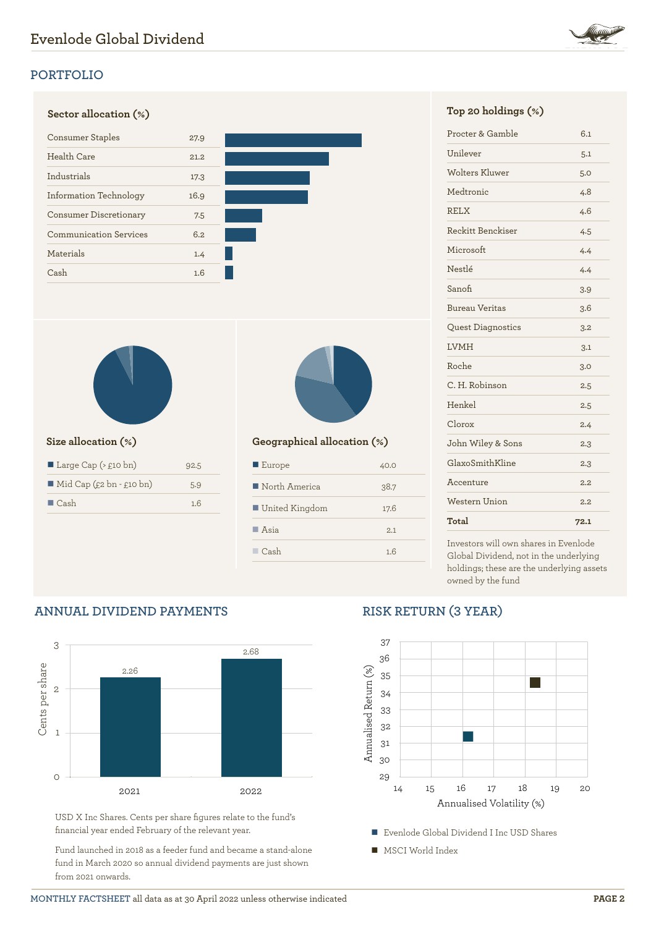

# **Sector allocation (%) Top 20 holdings (%)** Consumer Staples 27.9 Health Care 21.2 Industrials 17.3 Information Technology 16.9 Consumer Discretionary 7.5 Communication Services 6.2 Materials 1.4 Cash 1.6



 $\overline{O}$ 

| Large Cap $($ \ $\angle$ £10 bn)        | 92.5 |
|-----------------------------------------|------|
| $\blacksquare$ Mid Cap (£2 bn - £10 bn) | 5.9  |
| $\blacksquare$ Cash                     | 1.6  |

**ANNUAL DIVIDEND PAYMENTS**



### **Size allocation (%) Geographical allocation (%)**

| $\blacksquare$ Europe | 40.0 |
|-----------------------|------|
| North America         | 38.7 |
| ■ United Kingdom      | 17.6 |
| $\blacksquare$ Asia   | 2.1  |
| $\Box$ Cash           | 1.6  |

| Procter & Gamble         | 6.1  |
|--------------------------|------|
| Unilever                 | 5.1  |
| <b>Wolters Kluwer</b>    | 5.0  |
| Medtronic                | 4.8  |
| <b>RELX</b>              | 4.6  |
| Reckitt Benckiser        | 4.5  |
| Microsoft                | 4.4  |
| Nestlé                   | 4.4  |
| Sanofi                   | 3.9  |
| <b>Bureau Veritas</b>    | 3.6  |
| <b>Quest Diagnostics</b> | 3.2  |
| <b>LVMH</b>              | 3.1  |
| Roche                    | 3.0  |
| C. H. Robinson           | 2.5  |
| Henkel                   | 2.5  |
| Clorox                   | 2.4  |
| John Wiley & Sons        | 2.3  |
| GlaxoSmithKline          | 2.3  |
| Accenture                | 2.2  |
| Western Union            | 2.2  |
| Total                    | 72.1 |

Investors will own shares in Evenlode Global Dividend, not in the underlying holdings; these are the underlying assets owned by the fund

### 3 2.68 Cents per share Cents per share 2.26 2 1

2021 2022

# 37

**RISK RETURN (3 YEAR)**



■ Evenlode Global Dividend I Inc USD Shares

■ MSCI World Index



USD X Inc Shares. Cents per share figures relate to the fund's

Fund launched in 2018 as a feeder fund and became a stand-alone fund in March 2020 so annual dividend payments are just shown

financial year ended February of the relevant year.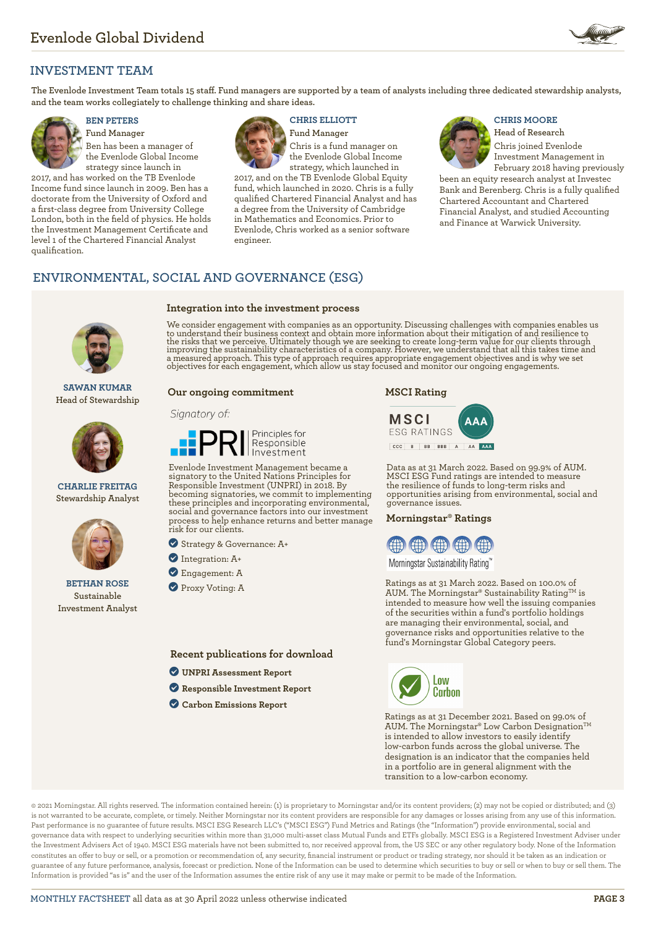

### **INVESTMENT TEAM**

**The Evenlode Investment Team totals 15 staff. Fund managers are supported by a team of analysts including three dedicated stewardship analysts, and the team works collegiately to challenge thinking and share ideas.**



**Fund Manager** Ben has been a manager of the Evenlode Global Income strategy since launch in

2017, and has worked on the TB Evenlode Income fund since launch in 2009. Ben has a doctorate from the University of Oxford and a first-class degree from University College London, both in the field of physics. He holds the Investment Management Certificate and level 1 of the Chartered Financial Analyst qualification.



**Integration into the investment process**

# **BEN PETERS CHRIS ELLIOTT CHRIS MOORE**

**Fund Manager** Chris is a fund manager on the Evenlode Global Income strategy, which launched in

2017, and on the TB Evenlode Global Equity fund, which launched in 2020. Chris is a fully qualified Chartered Financial Analyst and has a degree from the University of Cambridge in Mathematics and Economics. Prior to Evenlode, Chris worked as a senior software engineer.



**Head of Research** Chris joined Evenlode Investment Management in

February 2018 having previously been an equity research analyst at Investec Bank and Berenberg. Chris is a fully qualified Chartered Accountant and Chartered Financial Analyst, and studied Accounting and Finance at Warwick University.

### **ENVIRONMENTAL, SOCIAL AND GOVERNANCE (ESG)**



**SAWAN KUMAR Head of Stewardship**



**CHARLIE FREITAG Stewardship Analyst**



**BETHAN ROSE Sustainable Investment Analyst**

We consider engagement with companies as an opportunity. Discussing challenges with companies enables us to understand their business context and obtain more information about their mitigation of and resilience to<br>the risks that we perceive. Ultimately though we are seeking to create long-term value for our clients through<br>im

### **Our ongoing commitment**

### Signatory of:



Evenlode Investment Management became a signatory to the United Nations Principles for Responsible Investment (UNPRI) in 2018. By becoming signatories, we commit to implementing these principles and incorporating environmental, social and governance factors into our investment process to help enhance returns and better manage risk for our clients.

? Strategy & Governance: A+

- ? Integration: A+
- ? Engagement: A
- **Proxy Voting: A**

**Recent publications for download**

- ? **[UNPRI Assessment Report](https://evenlodeinvestment.com/resources/stewardship-assets/2020-Assessment-Report.pdf)**
- ? **[Responsible Investment Report](https://evenlodeinvestment.com/resources/stewardship-assets/Evenlode-Investment-Annual-Responsible-Investment-Report-2021.pdf)**
- ? **[Carbon Emissions Report](https://evenlodeinvestment.com/resources/stewardship-assets/Evenlode-Portfolio-Carbon-Emissions-Report-2021.pdf)**





Data as at 31 March 2022. Based on 99.9% of AUM. MSCI ESG Fund ratings are intended to measure the resilience of funds to long-term risks and opportunities arising from environmental, social and governance issues.

### **Morningstar® Ratings**



Morningstar Sustainability Rating™

Ratings as at 31 March 2022. Based on 100.0% of AUM. The Morningstar® Sustainability Rating<sup>TM</sup> is intended to measure how well the issuing companies of the securities within a fund's portfolio holdings are managing their environmental, social, and governance risks and opportunities relative to the fund's Morningstar Global Category peers.



Ratings as at 31 December 2021. Based on 99.0% of AUM. The Morningstar® Low Carbon Designation™ is intended to allow investors to easily identify low-carbon funds across the global universe. The designation is an indicator that the companies held in a portfolio are in general alignment with the transition to a low-carbon economy.

© 2021 Morningstar. All rights reserved. The information contained herein: (1) is proprietary to Morningstar and/or its content providers; (2) may not be copied or distributed; and (3) is not warranted to be accurate, complete, or timely. Neither Morningstar nor its content providers are responsible for any damages or losses arising from any use of this information. Past performance is no guarantee of future results. MSCI ESG Research LLC's ("MSCI ESG") Fund Metrics and Ratings (the "Information") provide environmental, social and governance data with respect to underlying securities within more than 31,000 multi-asset class Mutual Funds and ETFs globally. MSCI ESG is a Registered Investment Adviser under the Investment Advisers Act of 1940. MSCI ESG materials have not been submitted to, nor received approval from, the US SEC or any other regulatory body. None of the Information constitutes an offer to buy or sell, or a promotion or recommendation of, any security, financial instrument or product or trading strategy, nor should it be taken as an indication or guarantee of any future performance, analysis, forecast or prediction. None of the Information can be used to determine which securities to buy or sell or when to buy or sell them. The Information is provided "as is" and the user of the Information assumes the entire risk of any use it may make or permit to be made of the Information.